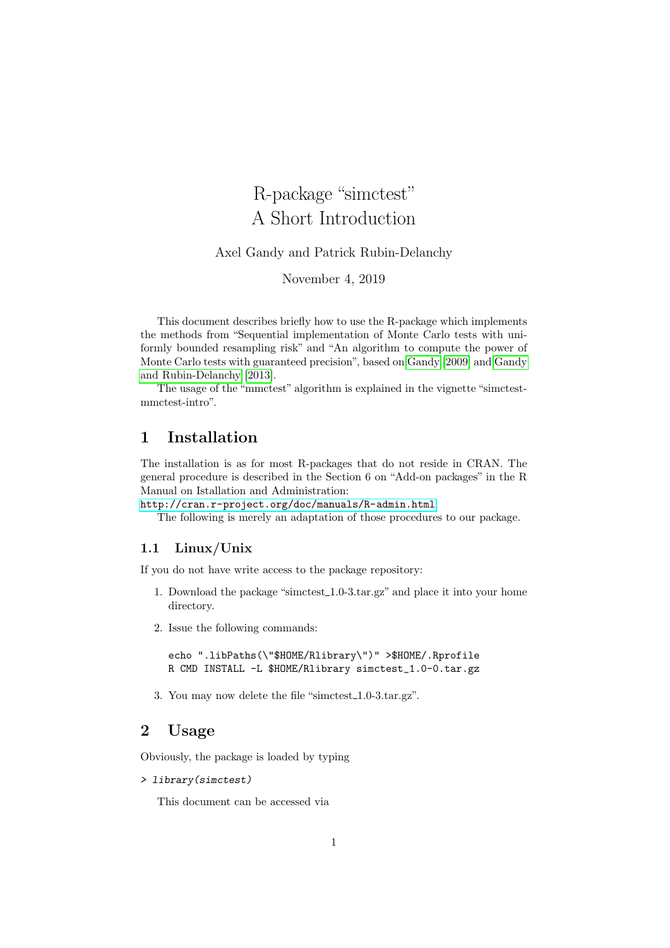# R-package "simctest" A Short Introduction

Axel Gandy and Patrick Rubin-Delanchy

November 4, 2019

This document describes briefly how to use the R-package which implements the methods from "Sequential implementation of Monte Carlo tests with uniformly bounded resampling risk" and "An algorithm to compute the power of Monte Carlo tests with guaranteed precision", based on [Gandy](#page-4-0) [\[2009\]](#page-4-0) and [Gandy](#page-4-1) [and Rubin-Delanchy](#page-4-1) [\[2013\]](#page-4-1).

The usage of the "mmctest" algorithm is explained in the vignette "simctestmmctest-intro".

# 1 Installation

The installation is as for most R-packages that do not reside in CRAN. The general procedure is described in the Section 6 on "Add-on packages" in the R Manual on Istallation and Administration:

<http://cran.r-project.org/doc/manuals/R-admin.html>.

The following is merely an adaptation of those procedures to our package.

#### 1.1 Linux/Unix

If you do not have write access to the package repository:

- 1. Download the package "simctest 1.0-3.tar.gz" and place it into your home directory.
- 2. Issue the following commands:

echo ".libPaths(\"\$HOME/Rlibrary\")" >\$HOME/.Rprofile R CMD INSTALL -L \$HOME/Rlibrary simctest\_1.0-0.tar.gz

3. You may now delete the file "simctest\_1.0-3.tar.gz".

# 2 Usage

Obviously, the package is loaded by typing

```
> library(simctest)
```
This document can be accessed via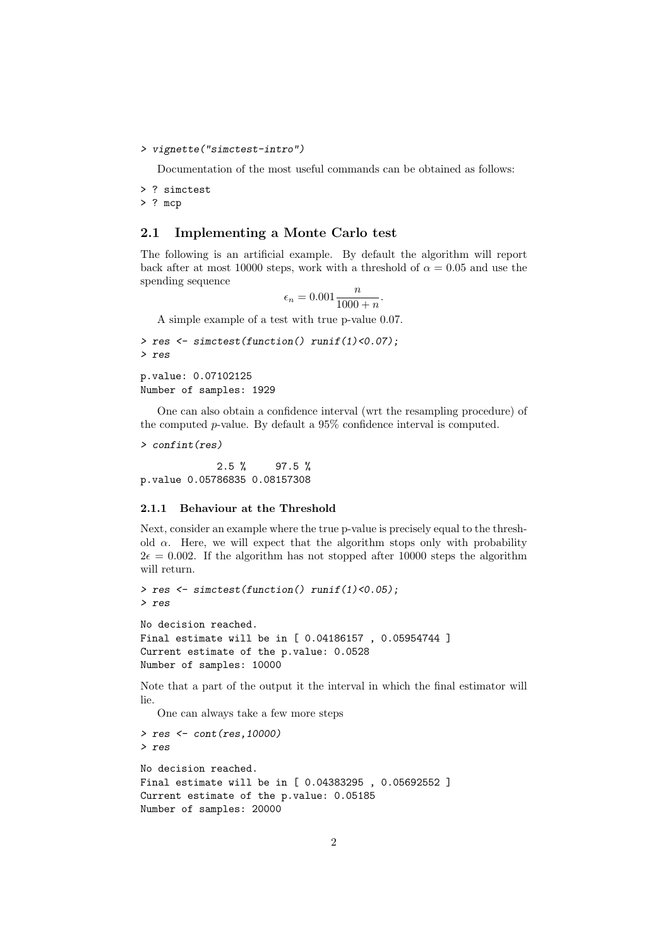```
> vignette("simctest-intro")
```
Documentation of the most useful commands can be obtained as follows:

> ? simctest

> ? mcp

#### 2.1 Implementing a Monte Carlo test

The following is an artificial example. By default the algorithm will report back after at most 10000 steps, work with a threshold of  $\alpha = 0.05$  and use the spending sequence

$$
\epsilon_n = 0.001 \frac{n}{1000 + n}.
$$

A simple example of a test with true p-value 0.07.

```
> res <- simctest(function() runif(1)<0.07);
> res
p.value: 0.07102125
Number of samples: 1929
```
One can also obtain a confidence interval (wrt the resampling procedure) of the computed p-value. By default a 95% confidence interval is computed.

> confint(res)

 $2.5 \%$  97.5 % p.value 0.05786835 0.08157308

#### 2.1.1 Behaviour at the Threshold

Next, consider an example where the true p-value is precisely equal to the threshold  $\alpha$ . Here, we will expect that the algorithm stops only with probability  $2\epsilon = 0.002$ . If the algorithm has not stopped after 10000 steps the algorithm will return.

```
> res <- simctest(function() runif(1)<0.05);
> res
No decision reached.
Final estimate will be in [ 0.04186157 , 0.05954744 ]
Current estimate of the p.value: 0.0528
Number of samples: 10000
```
Note that a part of the output it the interval in which the final estimator will lie.

One can always take a few more steps

```
> res <- cont(res,10000)
> res
No decision reached.
Final estimate will be in [ 0.04383295 , 0.05692552 ]
Current estimate of the p.value: 0.05185
Number of samples: 20000
```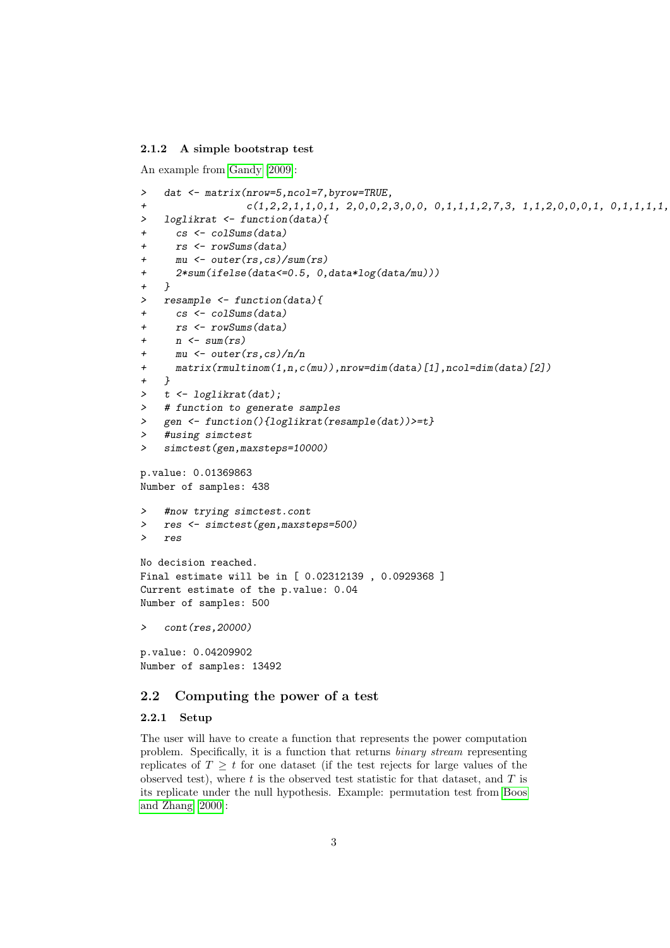#### 2.1.2 A simple bootstrap test

An example from [Gandy](#page-4-0) [\[2009\]](#page-4-0):

```
> dat <- matrix(nrow=5,ncol=7,byrow=TRUE,
+ c(1,2,2,1,1,0,1, 2,0,0,2,3,0,0, 0,1,1,1,2,7,3, 1,1,2,0,0,0,1, 0,1,1,1,1,0,0))
> loglikrat <- function(data){
+ cs <- colSums(data)
+ rs <- rowSums(data)
+ mu <- outer(rs,cs)/sum(rs)
+ 2*sum(ifelse(data<=0.5, 0,data*log(data/mu)))
+ }
> resample <- function(data){
+ cs <- colSums(data)
+ rs <- rowSums(data)
+ n \leftarrow sum(rs)+ mu <- outer(rs,cs)/n/n
+ matrix(rmultinom(1,n,c(mu)),nrow=dim(data)[1],ncol=dim(data)[2])
+ }
> t <- loglikrat(dat);
> # function to generate samples
> gen <- function(){loglikrat(resample(dat))>=t}
> #using simctest
> simctest(gen,maxsteps=10000)
p.value: 0.01369863
Number of samples: 438
> #now trying simctest.cont
> res <- simctest(gen,maxsteps=500)
> res
No decision reached.
Final estimate will be in [ 0.02312139 , 0.0929368 ]
Current estimate of the p.value: 0.04
Number of samples: 500
> cont(res,20000)
p.value: 0.04209902
Number of samples: 13492
```
## 2.2 Computing the power of a test

#### 2.2.1 Setup

The user will have to create a function that represents the power computation problem. Specifically, it is a function that returns binary stream representing replicates of  $T \geq t$  for one dataset (if the test rejects for large values of the observed test), where  $t$  is the observed test statistic for that dataset, and  $T$  is its replicate under the null hypothesis. Example: permutation test from [Boos](#page-4-2) [and Zhang](#page-4-2) [\[2000\]](#page-4-2):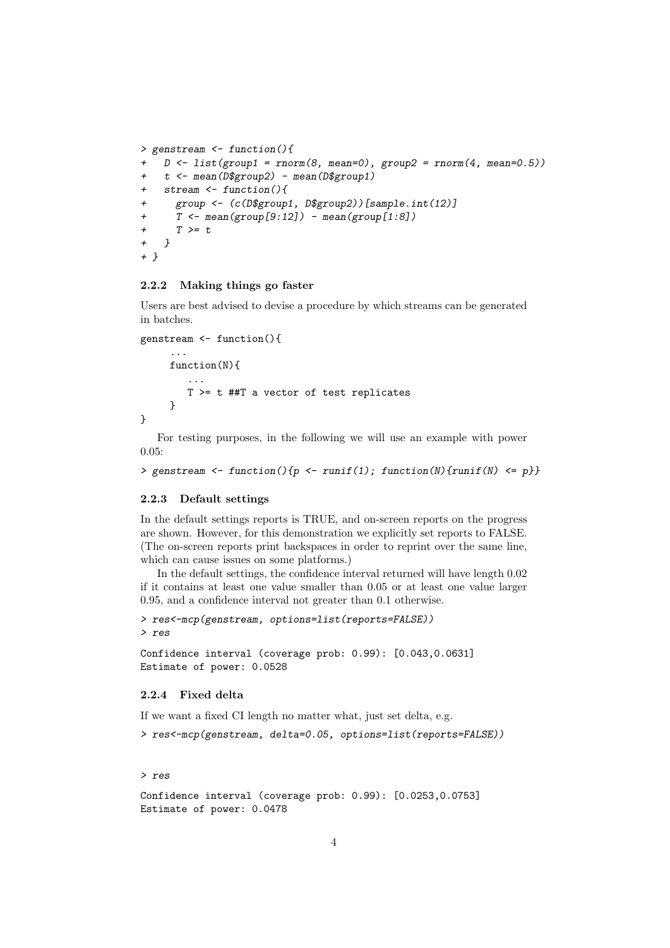```
> genstream <- function(){
   D \leftarrow list(group1 = rnorm(8, mean=0), group2 = rnorm(4, mean=0.5))+ t <- mean(D$group2) - mean(D$group1)
+ stream <- function(){
+ group <- (c(D$group1, D$group2))[sample.int(12)]
+ T \leftarrow \text{mean}(group[9:12]) - mean(group[1:8])+ T > = t+ }
+ }
```
#### 2.2.2 Making things go faster

Users are best advised to devise a procedure by which streams can be generated in batches.

```
genstream <- function(){
```
...

```
function(N){
        ...
        T >= t ##T a vector of test replicates
     }
}
```
For testing purposes, in the following we will use an example with power 0.05:

```
> genstream <- function(){p <- runif(1); function(N){runif(N) <= p}}
```
#### 2.2.3 Default settings

In the default settings reports is TRUE, and on-screen reports on the progress are shown. However, for this demonstration we explicitly set reports to FALSE. (The on-screen reports print backspaces in order to reprint over the same line, which can cause issues on some platforms.)

In the default settings, the confidence interval returned will have length 0.02 if it contains at least one value smaller than 0.05 or at least one value larger 0.95, and a confidence interval not greater than 0.1 otherwise.

```
> res<-mcp(genstream, options=list(reports=FALSE))
> res
```

```
Confidence interval (coverage prob: 0.99): [0.043,0.0631]
Estimate of power: 0.0528
```
### 2.2.4 Fixed delta

If we want a fixed CI length no matter what, just set delta, e.g.

```
> res<-mcp(genstream, delta=0.05, options=list(reports=FALSE))
```
#### > res

```
Confidence interval (coverage prob: 0.99): [0.0253,0.0753]
Estimate of power: 0.0478
```